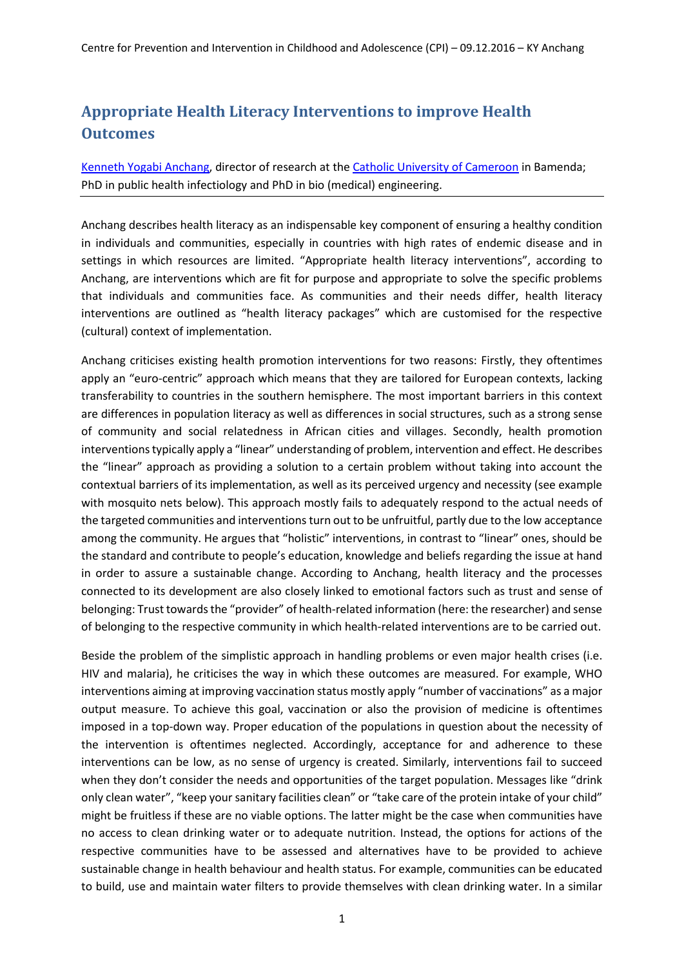## **Appropriate Health Literacy Interventions to improve Health Outcomes**

[Kenneth Yogabi Anchang,](http://www.scirp.org/Conference/CommitteemanInfor.aspx?PersonID=9255) director of research at the [Catholic University of Cameroon](http://www.catuc.org/) in Bamenda; PhD in public health infectiology and PhD in bio (medical) engineering.

Anchang describes health literacy as an indispensable key component of ensuring a healthy condition in individuals and communities, especially in countries with high rates of endemic disease and in settings in which resources are limited. "Appropriate health literacy interventions", according to Anchang, are interventions which are fit for purpose and appropriate to solve the specific problems that individuals and communities face. As communities and their needs differ, health literacy interventions are outlined as "health literacy packages" which are customised for the respective (cultural) context of implementation.

Anchang criticises existing health promotion interventions for two reasons: Firstly, they oftentimes apply an "euro-centric" approach which means that they are tailored for European contexts, lacking transferability to countries in the southern hemisphere. The most important barriers in this context are differences in population literacy as well as differences in social structures, such as a strong sense of community and social relatedness in African cities and villages. Secondly, health promotion interventions typically apply a "linear" understanding of problem, intervention and effect. He describes the "linear" approach as providing a solution to a certain problem without taking into account the contextual barriers of its implementation, as well as its perceived urgency and necessity (see example with mosquito nets below). This approach mostly fails to adequately respond to the actual needs of the targeted communities and interventions turn out to be unfruitful, partly due to the low acceptance among the community. He argues that "holistic" interventions, in contrast to "linear" ones, should be the standard and contribute to people's education, knowledge and beliefs regarding the issue at hand in order to assure a sustainable change. According to Anchang, health literacy and the processes connected to its development are also closely linked to emotional factors such as trust and sense of belonging: Trust towards the "provider" of health-related information (here: the researcher) and sense of belonging to the respective community in which health-related interventions are to be carried out.

Beside the problem of the simplistic approach in handling problems or even major health crises (i.e. HIV and malaria), he criticises the way in which these outcomes are measured. For example, WHO interventions aiming at improving vaccination status mostly apply "number of vaccinations" as a major output measure. To achieve this goal, vaccination or also the provision of medicine is oftentimes imposed in a top-down way. Proper education of the populations in question about the necessity of the intervention is oftentimes neglected. Accordingly, acceptance for and adherence to these interventions can be low, as no sense of urgency is created. Similarly, interventions fail to succeed when they don't consider the needs and opportunities of the target population. Messages like "drink only clean water", "keep your sanitary facilities clean" or "take care of the protein intake of your child" might be fruitless if these are no viable options. The latter might be the case when communities have no access to clean drinking water or to adequate nutrition. Instead, the options for actions of the respective communities have to be assessed and alternatives have to be provided to achieve sustainable change in health behaviour and health status. For example, communities can be educated to build, use and maintain water filters to provide themselves with clean drinking water. In a similar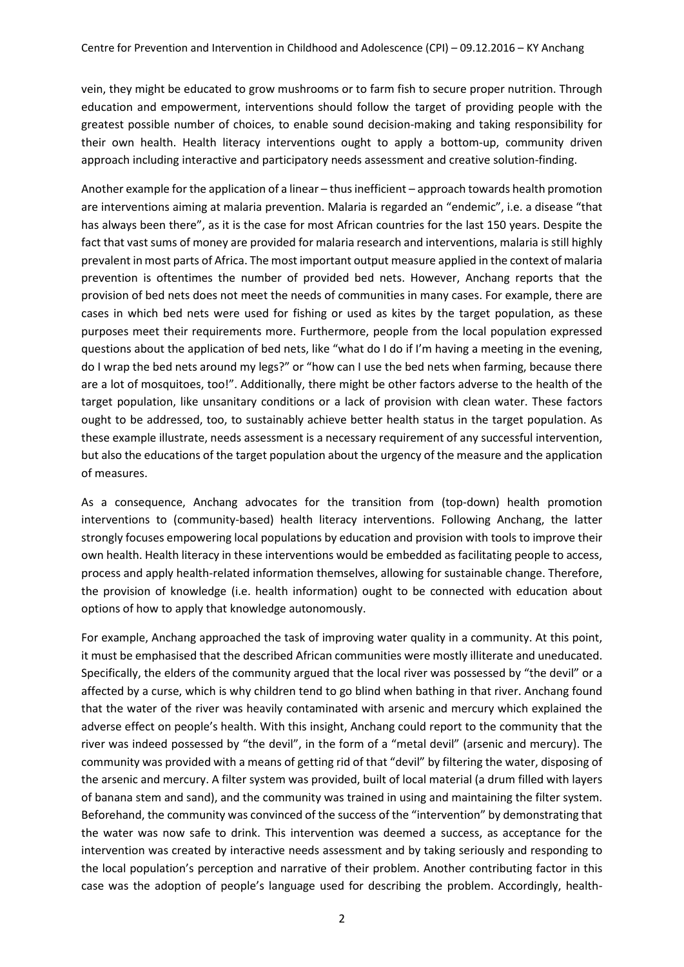vein, they might be educated to grow mushrooms or to farm fish to secure proper nutrition. Through education and empowerment, interventions should follow the target of providing people with the greatest possible number of choices, to enable sound decision-making and taking responsibility for their own health. Health literacy interventions ought to apply a bottom-up, community driven approach including interactive and participatory needs assessment and creative solution-finding.

Another example for the application of a linear – thus inefficient – approach towards health promotion are interventions aiming at malaria prevention. Malaria is regarded an "endemic", i.e. a disease "that has always been there", as it is the case for most African countries for the last 150 years. Despite the fact that vast sums of money are provided for malaria research and interventions, malaria is still highly prevalent in most parts of Africa. The most important output measure applied in the context of malaria prevention is oftentimes the number of provided bed nets. However, Anchang reports that the provision of bed nets does not meet the needs of communities in many cases. For example, there are cases in which bed nets were used for fishing or used as kites by the target population, as these purposes meet their requirements more. Furthermore, people from the local population expressed questions about the application of bed nets, like "what do I do if I'm having a meeting in the evening, do I wrap the bed nets around my legs?" or "how can I use the bed nets when farming, because there are a lot of mosquitoes, too!". Additionally, there might be other factors adverse to the health of the target population, like unsanitary conditions or a lack of provision with clean water. These factors ought to be addressed, too, to sustainably achieve better health status in the target population. As these example illustrate, needs assessment is a necessary requirement of any successful intervention, but also the educations of the target population about the urgency of the measure and the application of measures.

As a consequence, Anchang advocates for the transition from (top-down) health promotion interventions to (community-based) health literacy interventions. Following Anchang, the latter strongly focuses empowering local populations by education and provision with tools to improve their own health. Health literacy in these interventions would be embedded as facilitating people to access, process and apply health-related information themselves, allowing for sustainable change. Therefore, the provision of knowledge (i.e. health information) ought to be connected with education about options of how to apply that knowledge autonomously.

For example, Anchang approached the task of improving water quality in a community. At this point, it must be emphasised that the described African communities were mostly illiterate and uneducated. Specifically, the elders of the community argued that the local river was possessed by "the devil" or a affected by a curse, which is why children tend to go blind when bathing in that river. Anchang found that the water of the river was heavily contaminated with arsenic and mercury which explained the adverse effect on people's health. With this insight, Anchang could report to the community that the river was indeed possessed by "the devil", in the form of a "metal devil" (arsenic and mercury). The community was provided with a means of getting rid of that "devil" by filtering the water, disposing of the arsenic and mercury. A filter system was provided, built of local material (a drum filled with layers of banana stem and sand), and the community was trained in using and maintaining the filter system. Beforehand, the community was convinced of the success of the "intervention" by demonstrating that the water was now safe to drink. This intervention was deemed a success, as acceptance for the intervention was created by interactive needs assessment and by taking seriously and responding to the local population's perception and narrative of their problem. Another contributing factor in this case was the adoption of people's language used for describing the problem. Accordingly, health